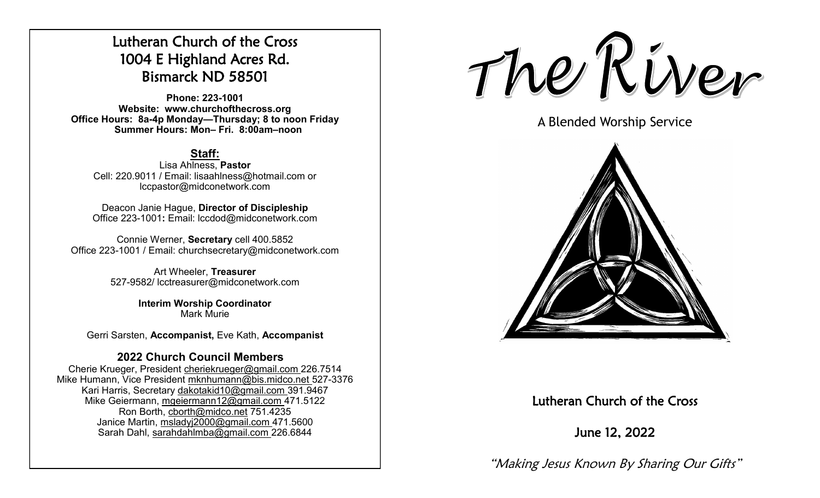# Lutheran Church of the Cross 1004 E Highland Acres Rd. Bismarck ND 58501

**Phone: 223-1001 Website: www.churchofthecross.org Office Hours: 8a-4p Monday—Thursday; 8 to noon Friday Summer Hours: Mon– Fri. 8:00am–noon**

# **Staff:**

Lisa Ahlness, **Pastor** Cell: 220.9011 / Email: lisaahlness@hotmail.com or lccpastor@midconetwork.com

Deacon Janie Hague, **Director of Discipleship** Office 223-1001**:** Email: lccdod@midconetwork.com

Connie Werner, **Secretary** cell 400.5852 Office 223-1001 / Email: churchsecretary@midconetwork.com

> Art Wheeler, **Treasurer** 527-9582/ lcctreasurer@midconetwork.com

> > **Interim Worship Coordinator**  Mark Murie

Gerri Sarsten, **Accompanist,** Eve Kath, **Accompanist**

# **2022 Church Council Members**

Cherie Krueger, President cheriekrueger@gmail.com 226.7514 Mike Humann, Vice President mknhumann@bis.midco.net 527-3376 Kari Harris, Secretary dakotakid10@gmail.com 391.9467 Mike Geiermann, mgeiermann12@gmail.com 471.5122 Ron Borth, [cborth@midco.net](mailto:cborth@midco.net) 751.4235 Janice Martin, msladyj2000@gmail.com 471.5600 Sarah Dahl, sarahdahlmba@gmail.com 226.6844

The River

A Blended Worship Service



# Lutheran Church of the Cross

June 12, 2022

"Making Jesus Known By Sharing Our Gifts"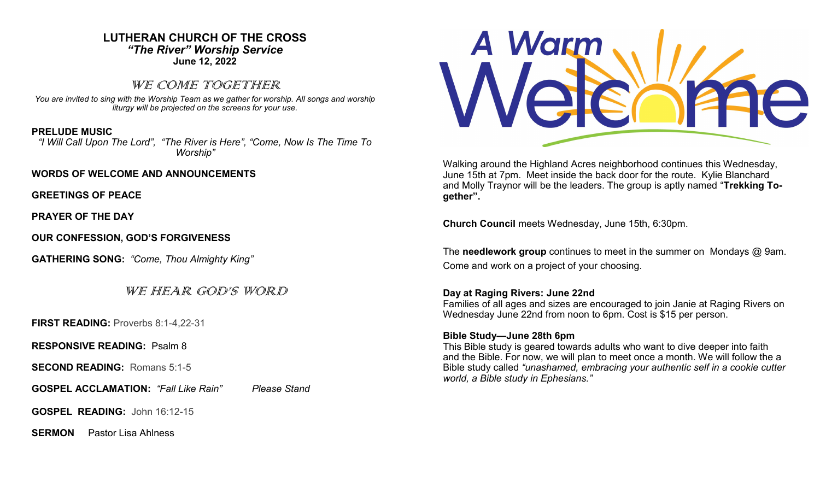## **LUTHERAN CHURCH OF THE CROSS** *"The River" Worship Service* **June 12, 2022**

## WE COME TOGETHER

*You are invited to sing with the Worship Team as we gather for worship. All songs and worship liturgy will be projected on the screens for your use.* 

## **PRELUDE MUSIC**

*"I Will Call Upon The Lord", "The River is Here", "Come, Now Is The Time To Worship"*

#### **WORDS OF WELCOME AND ANNOUNCEMENTS**

**GREETINGS OF PEACE**

**PRAYER OF THE DAY**

**OUR CONFESSION, GOD'S FORGIVENESS**

**GATHERING SONG:** *"Come, Thou Almighty King"*

WE HEAR GOD'S WORD

**FIRST READING:** Proverbs 8:1-4,22-31

**RESPONSIVE READING:** Psalm 8

**SECOND READING:** Romans 5:1-5

**GOSPEL ACCLAMATION:** *"Fall Like Rain" Please Stand*

**GOSPEL READING:** John 16:12-15

**SERMON** Pastor Lisa Ahlness



Walking around the Highland Acres neighborhood continues this Wednesday, June 15th at 7pm. Meet inside the back door for the route. Kylie Blanchard and Molly Traynor will be the leaders. The group is aptly named "**Trekking Together".**

**Church Council** meets Wednesday, June 15th, 6:30pm.

The **needlework group** continues to meet in the summer on Mondays @ 9am. Come and work on a project of your choosing.

#### **Day at Raging Rivers: June 22nd**

Families of all ages and sizes are encouraged to join Janie at Raging Rivers on Wednesday June 22nd from noon to 6pm. Cost is \$15 per person.

#### **Bible Study—June 28th 6pm**

This Bible study is geared towards adults who want to dive deeper into faith and the Bible. For now, we will plan to meet once a month. We will follow the a Bible study called *"unashamed, embracing your authentic self in a cookie cutter world, a Bible study in Ephesians."*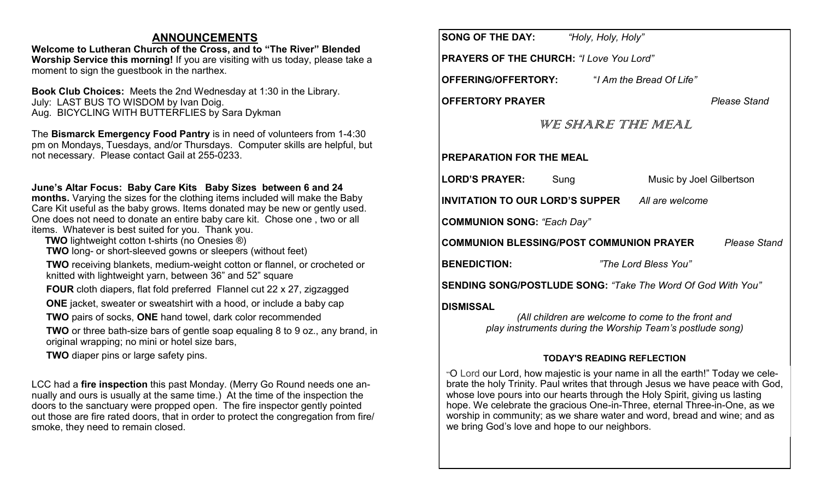## **ANNOUNCEMENTS**

**Welcome to Lutheran Church of the Cross, and to "The River" Blended Worship Service this morning!** If you are visiting with us today, please take a moment to sign the guestbook in the narthex.

**Book Club Choices:** Meets the 2nd Wednesday at 1:30 in the Library. July: LAST BUS TO WISDOM by Ivan Doig. Aug. BICYCLING WITH BUTTERFLIES by Sara Dykman

The **Bismarck Emergency Food Pantry** is in need of volunteers from 1-4:30 pm on Mondays, Tuesdays, and/or Thursdays. Computer skills are helpful, but not necessary. Please contact Gail at 255-0233.

### **June's Altar Focus: Baby Care Kits Baby Sizes between 6 and 24**

**months.** Varying the sizes for the clothing items included will make the Baby Care Kit useful as the baby grows. Items donated may be new or gently used. One does not need to donate an entire baby care kit. Chose one , two or all items. Whatever is best suited for you. Thank you.

- **TWO** lightweight cotton t-shirts (no Onesies ®)
- **TWO** long- or short-sleeved gowns or sleepers (without feet)

**TWO** receiving blankets, medium-weight cotton or flannel, or crocheted or knitted with lightweight yarn, between 36" and 52" square

- **FOUR** cloth diapers, flat fold preferred Flannel cut 22 x 27, zigzagged
- **ONE** jacket, sweater or sweatshirt with a hood, or include a baby cap
- **TWO** pairs of socks, **ONE** hand towel, dark color recommended

**TWO** or three bath-size bars of gentle soap equaling 8 to 9 oz., any brand, in original wrapping; no mini or hotel size bars,

**TWO** diaper pins or large safety pins.

LCC had a **fire inspection** this past Monday. (Merry Go Round needs one annually and ours is usually at the same time.) At the time of the inspection the doors to the sanctuary were propped open. The fire inspector gently pointed out those are fire rated doors, that in order to protect the congregation from fire/ smoke, they need to remain closed.

| <b>SONG OF THE DAY:</b> "Holy, Holy, Holy"                             |                                                                                                                 |  |  |
|------------------------------------------------------------------------|-----------------------------------------------------------------------------------------------------------------|--|--|
| <b>PRAYERS OF THE CHURCH: "I Love You Lord"</b>                        |                                                                                                                 |  |  |
| OFFERING/OFFERTORY:                                                    | "I Am the Bread Of Life"                                                                                        |  |  |
| <b>OFFERTORY PRAYER</b>                                                | <b>Please Stand</b>                                                                                             |  |  |
| WE SHARE THE MEAL                                                      |                                                                                                                 |  |  |
| <b>PREPARATION FOR THE MEAL</b>                                        |                                                                                                                 |  |  |
| <b>LORD'S PRAYER:</b><br>Sung                                          | Music by Joel Gilbertson                                                                                        |  |  |
| <b>INVITATION TO OUR LORD'S SUPPER</b> All are welcome                 |                                                                                                                 |  |  |
| <b>COMMUNION SONG: "Each Day"</b>                                      |                                                                                                                 |  |  |
| <b>COMMUNION BLESSING/POST COMMUNION PRAYER</b><br><b>Please Stand</b> |                                                                                                                 |  |  |
| <b>BENEDICTION:</b>                                                    | "The Lord Bless You"                                                                                            |  |  |
| SENDING SONG/POSTLUDE SONG: "Take The Word Of God With You"            |                                                                                                                 |  |  |
| <b>DISMISSAL</b>                                                       | (All children are welcome to come to the front and<br>play instruments during the Worship Team's postlude song) |  |  |

## **TODAY'S READING REFLECTION**

"O Lord our Lord, how majestic is your name in all the earth!" Today we celebrate the holy Trinity. Paul writes that through Jesus we have peace with God, whose love pours into our hearts through the Holy Spirit, giving us lasting hope. We celebrate the gracious One-in-Three, eternal Three-in-One, as we worship in community; as we share water and word, bread and wine; and as we bring God's love and hope to our neighbors.